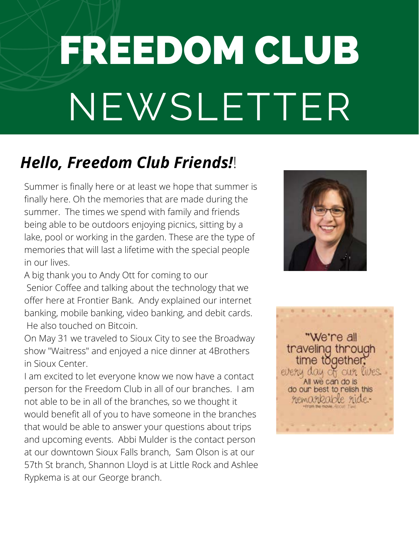# FREEDOM CLUB NEWSLETTER

### *Hello, Freedom Club Friends!*!

Summer is finally here or at least we hope that summer is finally here. Oh the memories that are made during the summer. The times we spend with family and friends being able to be outdoors enjoying picnics, sitting by a lake, pool or working in the garden. These are the type of memories that will last a lifetime with the special people in our lives.

A big thank you to Andy Ott for coming to our Senior Coffee and talking about the technology that we offer here at Frontier Bank. Andy explained our internet banking, mobile banking, video banking, and debit cards. He also touched on Bitcoin.

On May 31 we traveled to Sioux City to see the Broadway show "Waitress" and enjoyed a nice dinner at 4Brothers in Sioux Center.

I am excited to let everyone know we now have a contact person for the Freedom Club in all of our branches. I am not able to be in all of the branches, so we thought it would benefit all of you to have someone in the branches that would be able to answer your questions about trips and upcoming events. Abbi Mulder is the contact person at our downtown Sioux Falls branch, Sam Olson is at our 57th St branch, Shannon Lloyd is at Little Rock and Ashlee Rypkema is at our George branch.



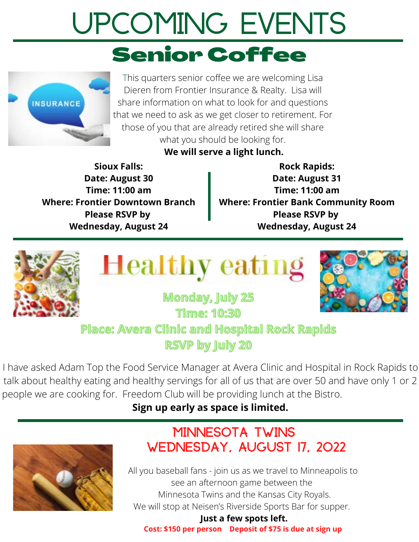# **Upcoming Events** Senior Coffee



This quarters senior coffee we are welcoming Lisa Dieren from Frontier Insurance & Realty. Lisa will share information on what to look for and questions that we need to ask as we get closer to retirement. For those of you that are already retired she will share what you should be looking for.

#### **We will serve a light lunch.**

**Sioux Falls: Date: August 30 Time: 11:00 am Where: Frontier Downtown Branch Please RSVP by Wednesday, August 24**

**Rock Rapids: Date: August 31 Time: 11:00 am Where: Frontier Bank Community Room Please RSVP by Wednesday, August 24**







**Monday, July 25 Time: 10:30 Place: Avera Clinic and Hospital Rock Rapids RSVP by July 20**

I have asked Adam Top the Food Service Manager at Avera Clinic and Hospital in Rock Rapids to talk about healthy eating and healthy servings for all of us that are over 50 and have only 1 or 2 people we are cooking for. Freedom Club will be providing lunch at the Bistro.

#### **Sign up early as space is limited.**



#### Minnesota Twins Wednesday, August 17, 2022

All you baseball fans - join us as we travel to Minneapolis to see an afternoon game between the Minnesota Twins and the Kansas City Royals. We will stop at Neisen's Riverside Sports Bar for supper.

**Just a few spots left.**

**Cost: \$150 per person Deposit of \$75 is due at sign up**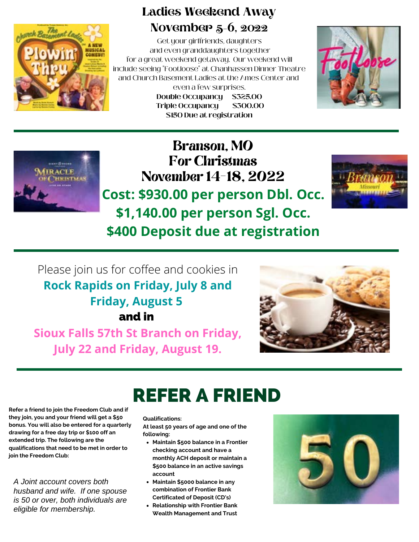

#### **Ladies Weekend Away November 5-6, 2022**

Get your girlfriends, daughters and even granddaughters together for a great weekend getaway. Our weekend will include seeing "Footloose" at Chanhassen Dinner Theatre and Church Basement Ladies at the Ames Center and even a few surprises. **Double Occupancy \$325.00**

**Triple Occupancy \$300.00 \$150 Due at registration**





Branson, MO For Christmas November 14-18, 2022 **Cost: \$930.00 per person Dbl. Occ. \$1,140.00 per person Sgl. Occ.**



**\$400 Deposit due at registration**

#### Please join us for coffee and cookies in **Rock Rapids on Friday, July 8 and Friday, August 5** and in

**Sioux Falls 57th St Branch on Friday, July 22 and Friday, August 19.**



## REFER A FRIEND

**Refer a friend to join the Freedom Club and if they join, you and your friend will get a \$50 bonus. You will also be entered for a quarterly drawing for a free day trip or \$100 off an extended trip. The following are the qualifications that need to be met in order to join the Freedom Club:**

*A Joint account covers both husband and wife. If one spouse is 50 or over, both individuals are eligible for membership.*

#### **Qualifications:**

**At least 50 years of age and one of the following:**

- **Maintain \$500 balance in a Frontier checking account and have a monthly ACH deposit or maintain a \$500 balance in an active savings account**
- **Maintain \$5000 balance in any combination of Frontier Bank Certificated of Deposit (CD's)**
- **Relationship with Frontier Bank Wealth Management and Trust**